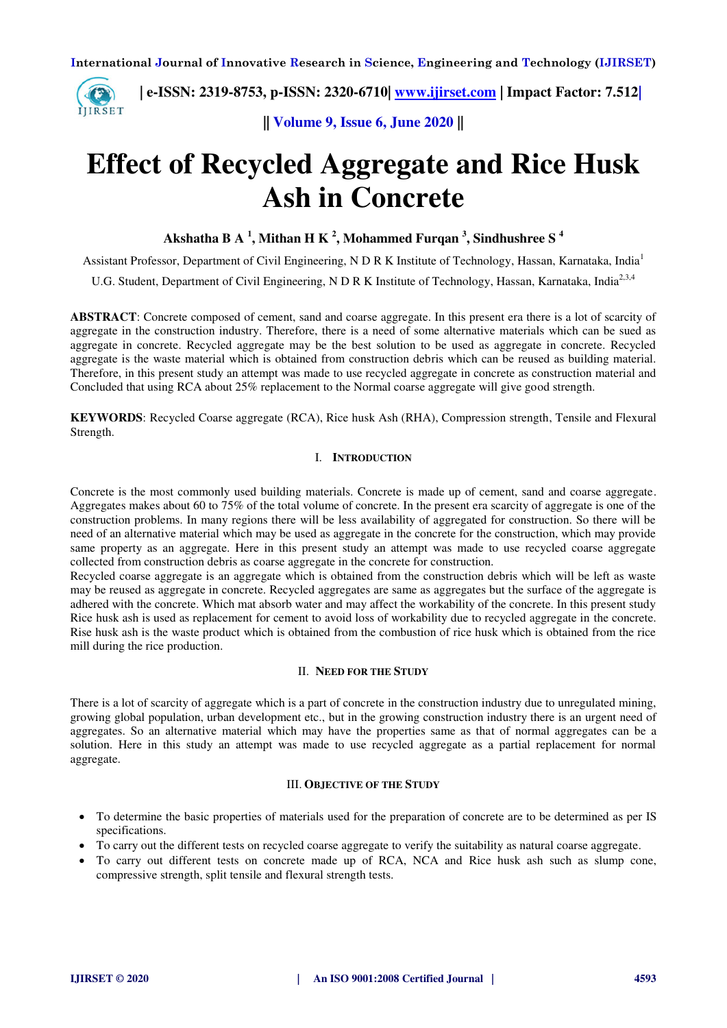

 **| e-ISSN: 2319-8753, p-ISSN: 2320-6710| [www.ijirset.com](http://www.ijirset.com/) | Impact Factor: 7.512|**

**|| Volume 9, Issue 6, June 2020 ||** 

# **Effect of Recycled Aggregate and Rice Husk Ash in Concrete**

**Akshatha B A <sup>1</sup> , Mithan H K <sup>2</sup> , Mohammed Furqan <sup>3</sup> , Sindhushree S <sup>4</sup>**

Assistant Professor, Department of Civil Engineering, N D R K Institute of Technology, Hassan, Karnataka, India<sup>1</sup> U.G. Student, Department of Civil Engineering, N D R K Institute of Technology, Hassan, Karnataka, India<sup>2,3,4</sup>

**ABSTRACT**: Concrete composed of cement, sand and coarse aggregate. In this present era there is a lot of scarcity of aggregate in the construction industry. Therefore, there is a need of some alternative materials which can be sued as aggregate in concrete. Recycled aggregate may be the best solution to be used as aggregate in concrete. Recycled aggregate is the waste material which is obtained from construction debris which can be reused as building material. Therefore, in this present study an attempt was made to use recycled aggregate in concrete as construction material and Concluded that using RCA about 25% replacement to the Normal coarse aggregate will give good strength.

**KEYWORDS**: Recycled Coarse aggregate (RCA), Rice husk Ash (RHA), Compression strength, Tensile and Flexural Strength.

# I. **INTRODUCTION**

Concrete is the most commonly used building materials. Concrete is made up of cement, sand and coarse aggregate. Aggregates makes about 60 to 75% of the total volume of concrete. In the present era scarcity of aggregate is one of the construction problems. In many regions there will be less availability of aggregated for construction. So there will be need of an alternative material which may be used as aggregate in the concrete for the construction, which may provide same property as an aggregate. Here in this present study an attempt was made to use recycled coarse aggregate collected from construction debris as coarse aggregate in the concrete for construction.

Recycled coarse aggregate is an aggregate which is obtained from the construction debris which will be left as waste may be reused as aggregate in concrete. Recycled aggregates are same as aggregates but the surface of the aggregate is adhered with the concrete. Which mat absorb water and may affect the workability of the concrete. In this present study Rice husk ash is used as replacement for cement to avoid loss of workability due to recycled aggregate in the concrete. Rise husk ash is the waste product which is obtained from the combustion of rice husk which is obtained from the rice mill during the rice production.

# II. **NEED FOR THE STUDY**

There is a lot of scarcity of aggregate which is a part of concrete in the construction industry due to unregulated mining, growing global population, urban development etc., but in the growing construction industry there is an urgent need of aggregates. So an alternative material which may have the properties same as that of normal aggregates can be a solution. Here in this study an attempt was made to use recycled aggregate as a partial replacement for normal aggregate.

#### III. **OBJECTIVE OF THE STUDY**

- To determine the basic properties of materials used for the preparation of concrete are to be determined as per IS specifications.
- To carry out the different tests on recycled coarse aggregate to verify the suitability as natural coarse aggregate.
- To carry out different tests on concrete made up of RCA, NCA and Rice husk ash such as slump cone, compressive strength, split tensile and flexural strength tests.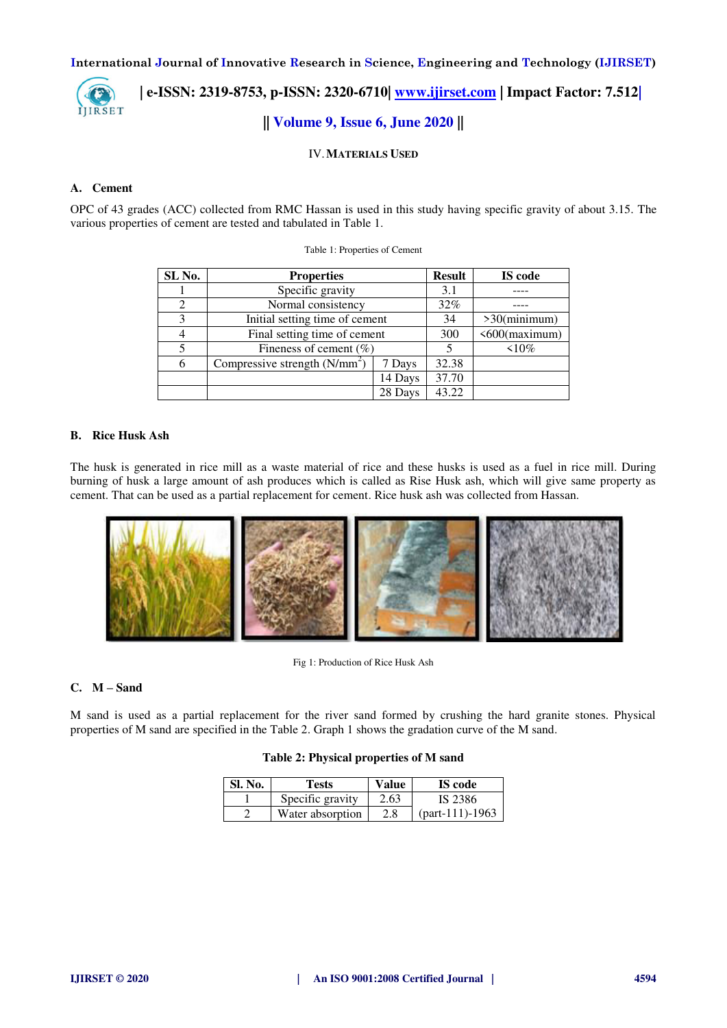

# **| e-ISSN: 2319-8753, p-ISSN: 2320-6710| [www.ijirset.com](http://www.ijirset.com/) | Impact Factor: 7.512| || Volume 9, Issue 6, June 2020 ||**

IV.**MATERIALS USED**

# **A. Cement**

OPC of 43 grades (ACC) collected from RMC Hassan is used in this study having specific gravity of about 3.15. The various properties of cement are tested and tabulated in Table 1.

| SL No.         | <b>Properties</b>              | <b>Result</b> | IS code         |               |
|----------------|--------------------------------|---------------|-----------------|---------------|
|                | Specific gravity               |               | 3.1             |               |
| $\overline{c}$ | Normal consistency             | 32%           |                 |               |
| 3              | Initial setting time of cement | 34            | $>30$ (minimum) |               |
|                | Final setting time of cement   |               | 300             | <600(maximum) |
|                | Fineness of cement $(\% )$     |               |                 | $10\%$        |
| 6              | Compressive strength $(N/mm2)$ | 7 Days        | 32.38           |               |
|                |                                | 14 Days       | 37.70           |               |
|                |                                | 28 Days       | 43.22           |               |

### Table 1: Properties of Cement

## **B. Rice Husk Ash**

The husk is generated in rice mill as a waste material of rice and these husks is used as a fuel in rice mill. During burning of husk a large amount of ash produces which is called as Rise Husk ash, which will give same property as cement. That can be used as a partial replacement for cement. Rice husk ash was collected from Hassan.



Fig 1: Production of Rice Husk Ash

## **C. M – Sand**

M sand is used as a partial replacement for the river sand formed by crushing the hard granite stones. Physical properties of M sand are specified in the Table 2. Graph 1 shows the gradation curve of the M sand.

| Sl. No. | Tests            | Value | <b>IS</b> code   |
|---------|------------------|-------|------------------|
|         | Specific gravity | 2.63  | IS 2386          |
|         | Water absorption | 2.8   | $part-111$ -1963 |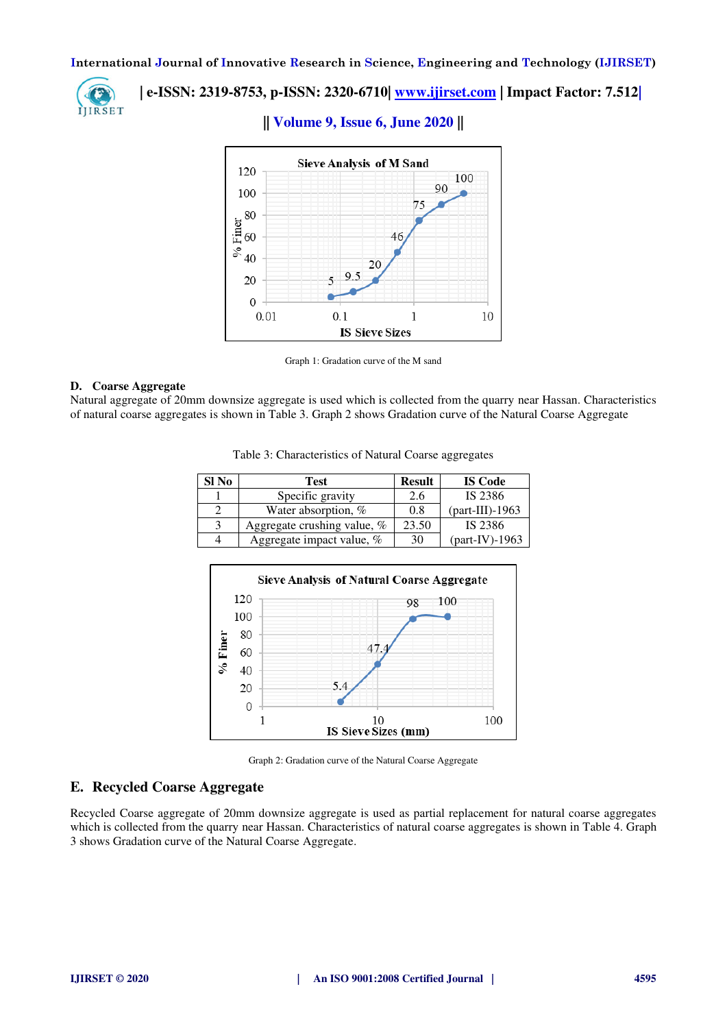

 **| e-ISSN: 2319-8753, p-ISSN: 2320-6710| [www.ijirset.com](http://www.ijirset.com/) | Impact Factor: 7.512|**

# **|| Volume 9, Issue 6, June 2020 ||**



Graph 1: Gradation curve of the M sand

## **D. Coarse Aggregate**

Natural aggregate of 20mm downsize aggregate is used which is collected from the quarry near Hassan. Characteristics of natural coarse aggregates is shown in Table 3. Graph 2 shows Gradation curve of the Natural Coarse Aggregate

|  | Table 3: Characteristics of Natural Coarse aggregates |  |  |  |
|--|-------------------------------------------------------|--|--|--|
|--|-------------------------------------------------------|--|--|--|

| Sl No | <b>Test</b>                 | <b>Result</b> | <b>IS Code</b>   |
|-------|-----------------------------|---------------|------------------|
|       | Specific gravity            | 2.6           | IS 2386          |
|       | Water absorption, %         | 0.8           | $part-III$ -1963 |
| 3     | Aggregate crushing value, % | 23.50         | IS 2386          |
|       | Aggregate impact value, %   | 30            | $part-IV$ -1963  |



Graph 2: Gradation curve of the Natural Coarse Aggregate

# **E. Recycled Coarse Aggregate**

Recycled Coarse aggregate of 20mm downsize aggregate is used as partial replacement for natural coarse aggregates which is collected from the quarry near Hassan. Characteristics of natural coarse aggregates is shown in Table 4. Graph 3 shows Gradation curve of the Natural Coarse Aggregate.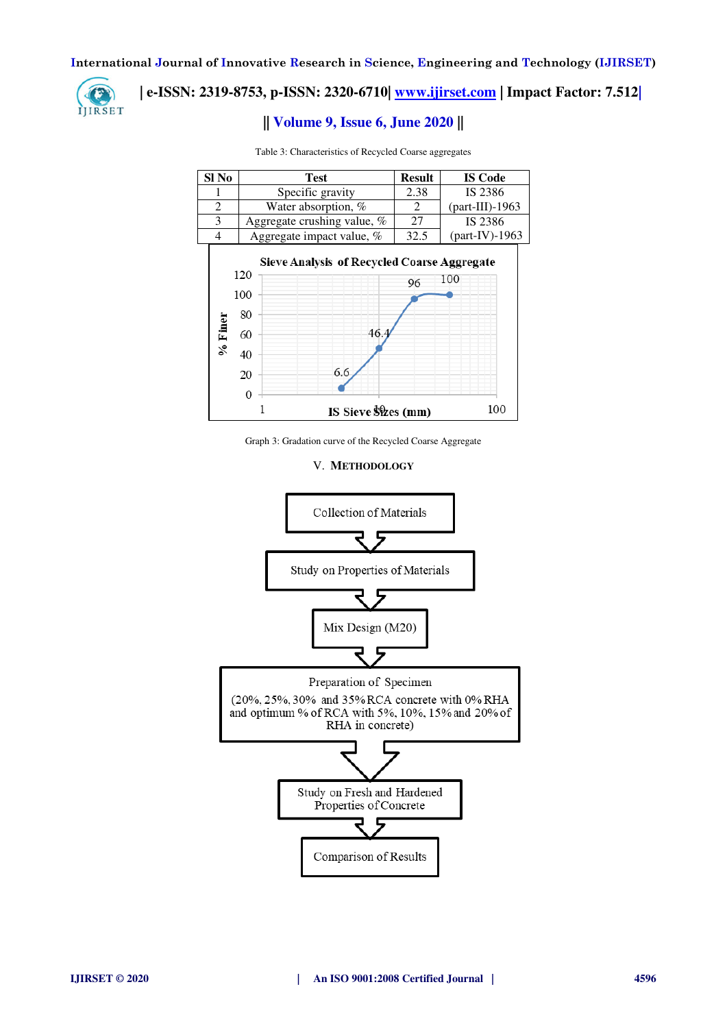

# **| e-ISSN: 2319-8753, p-ISSN: 2320-6710| [www.ijirset.com](http://www.ijirset.com/) | Impact Factor: 7.512|**

# **|| Volume 9, Issue 6, June 2020 ||**

| Sl No          | <b>Test</b>                        |                             | <b>Result</b> | <b>IS Code</b>   |  |
|----------------|------------------------------------|-----------------------------|---------------|------------------|--|
|                | Specific gravity                   |                             | 2.38          | IS 2386          |  |
| $\overline{2}$ | Water absorption, %                |                             | 2             | $part-III$ -1963 |  |
| 3              |                                    | Aggregate crushing value, % |               | IS 2386          |  |
| 4              |                                    | Aggregate impact value, %   | 32.5          | $part-IV$ -1963  |  |
| $9/6$ Finer    | 120<br>100<br>80<br>60<br>40<br>20 | 46.4<br>6.6                 | 96            | 100              |  |
|                |                                    | IS Sieve \$\$\\ves (mm)     |               | 100              |  |

Table 3: Characteristics of Recycled Coarse aggregates

Graph 3: Gradation curve of the Recycled Coarse Aggregate

# V. **METHODOLOGY**

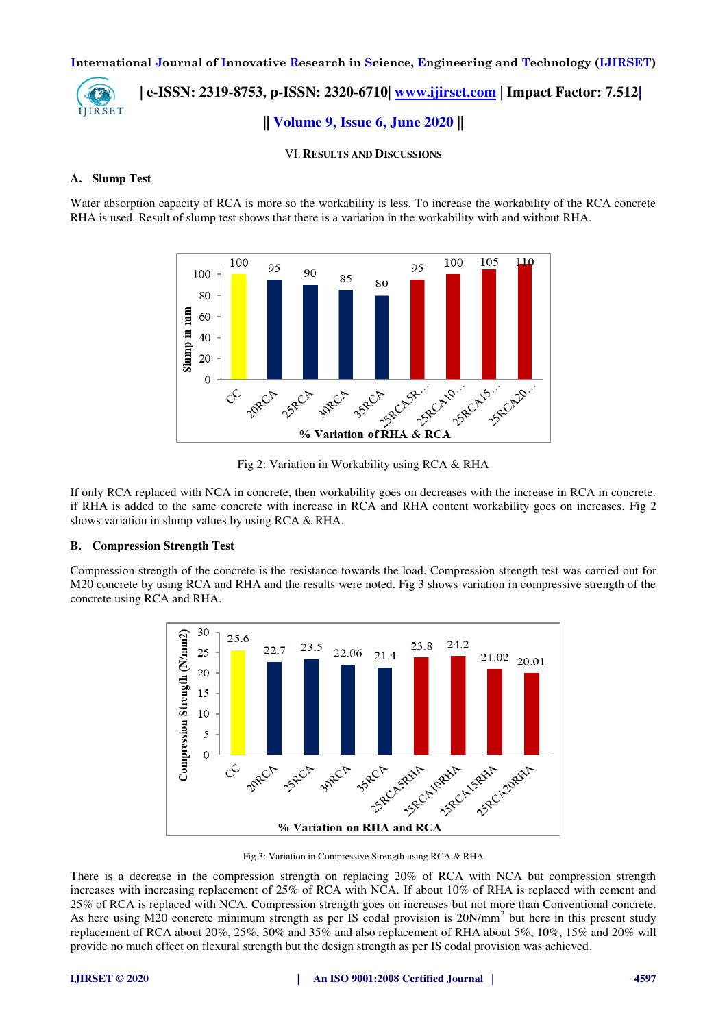**| e-ISSN: 2319-8753, p-ISSN: 2320-6710| [www.ijirset.com](http://www.ijirset.com/) | Impact Factor: 7.512| ITIRSET || Volume 9, Issue 6, June 2020 ||** 

VI.**RESULTS AND DISCUSSIONS**

## **A. Slump Test**

Water absorption capacity of RCA is more so the workability is less. To increase the workability of the RCA concrete RHA is used. Result of slump test shows that there is a variation in the workability with and without RHA.



Fig 2: Variation in Workability using RCA & RHA

If only RCA replaced with NCA in concrete, then workability goes on decreases with the increase in RCA in concrete. if RHA is added to the same concrete with increase in RCA and RHA content workability goes on increases. Fig 2 shows variation in slump values by using RCA & RHA.

# **B. Compression Strength Test**

Compression strength of the concrete is the resistance towards the load. Compression strength test was carried out for M20 concrete by using RCA and RHA and the results were noted. Fig 3 shows variation in compressive strength of the concrete using RCA and RHA.



Fig 3: Variation in Compressive Strength using RCA & RHA

There is a decrease in the compression strength on replacing 20% of RCA with NCA but compression strength increases with increasing replacement of 25% of RCA with NCA. If about 10% of RHA is replaced with cement and 25% of RCA is replaced with NCA, Compression strength goes on increases but not more than Conventional concrete. As here using M20 concrete minimum strength as per IS codal provision is 20N/mm<sup>2</sup> but here in this present study replacement of RCA about 20%, 25%, 30% and 35% and also replacement of RHA about 5%, 10%, 15% and 20% will provide no much effect on flexural strength but the design strength as per IS codal provision was achieved.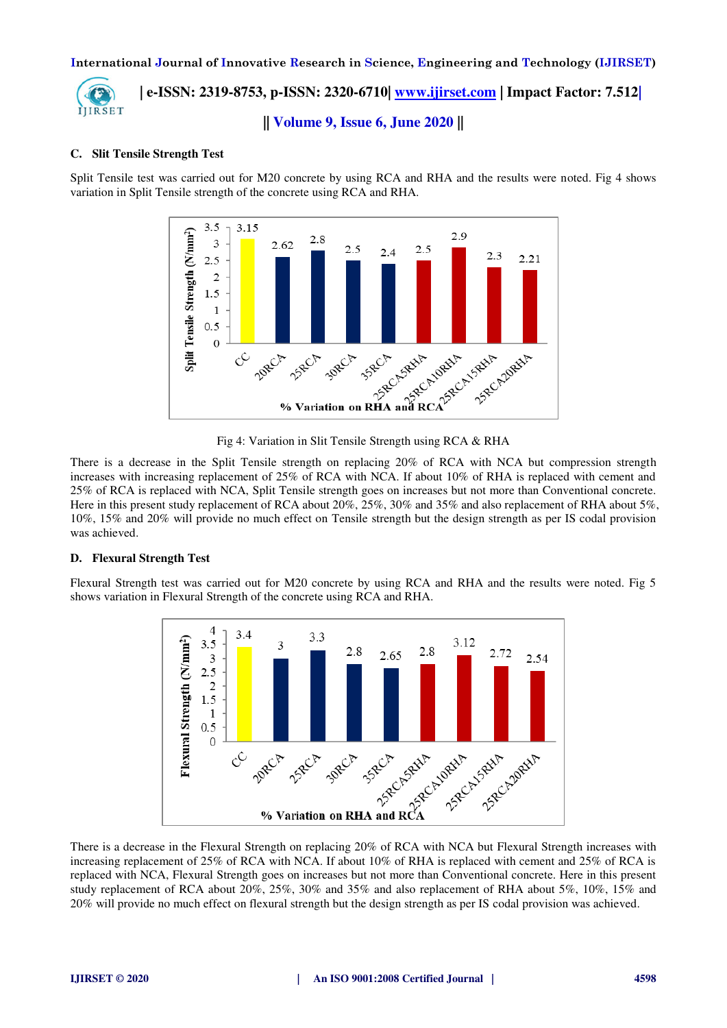

 **| e-ISSN: 2319-8753, p-ISSN: 2320-6710| [www.ijirset.com](http://www.ijirset.com/) | Impact Factor: 7.512| || Volume 9, Issue 6, June 2020 ||** 

# **C. Slit Tensile Strength Test**

Split Tensile test was carried out for M20 concrete by using RCA and RHA and the results were noted. Fig 4 shows variation in Split Tensile strength of the concrete using RCA and RHA.



There is a decrease in the Split Tensile strength on replacing 20% of RCA with NCA but compression strength increases with increasing replacement of 25% of RCA with NCA. If about 10% of RHA is replaced with cement and 25% of RCA is replaced with NCA, Split Tensile strength goes on increases but not more than Conventional concrete. Here in this present study replacement of RCA about 20%, 25%, 30% and 35% and also replacement of RHA about 5%, 10%, 15% and 20% will provide no much effect on Tensile strength but the design strength as per IS codal provision was achieved.

# **D. Flexural Strength Test**

Flexural Strength test was carried out for M20 concrete by using RCA and RHA and the results were noted. Fig 5 shows variation in Flexural Strength of the concrete using RCA and RHA.



There is a decrease in the Flexural Strength on replacing 20% of RCA with NCA but Flexural Strength increases with increasing replacement of 25% of RCA with NCA. If about 10% of RHA is replaced with cement and 25% of RCA is replaced with NCA, Flexural Strength goes on increases but not more than Conventional concrete. Here in this present study replacement of RCA about 20%, 25%, 30% and 35% and also replacement of RHA about 5%, 10%, 15% and 20% will provide no much effect on flexural strength but the design strength as per IS codal provision was achieved.